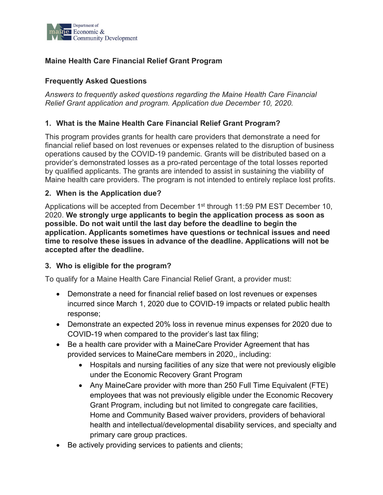

# **Maine Health Care Financial Relief Grant Program**

### **Frequently Asked Questions**

*Answers to frequently asked questions regarding the Maine Health Care Financial Relief Grant application and program. Application due December 10, 2020.*

### **1. What is the Maine Health Care Financial Relief Grant Program?**

This program provides grants for health care providers that demonstrate a need for financial relief based on lost revenues or expenses related to the disruption of business operations caused by the COVID-19 pandemic. Grants will be distributed based on a provider's demonstrated losses as a pro-rated percentage of the total losses reported by qualified applicants. The grants are intended to assist in sustaining the viability of Maine health care providers. The program is not intended to entirely replace lost profits.

### **2. When is the Application due?**

Applications will be accepted from December 1<sup>st</sup> through 11:59 PM EST December 10, 2020. **We strongly urge applicants to begin the application process as soon as possible. Do not wait until the last day before the deadline to begin the application. Applicants sometimes have questions or technical issues and need time to resolve these issues in advance of the deadline. Applications will not be accepted after the deadline.**

### **3. Who is eligible for the program?**

To qualify for a Maine Health Care Financial Relief Grant, a provider must:

- Demonstrate a need for financial relief based on lost revenues or expenses incurred since March 1, 2020 due to COVID-19 impacts or related public health response;
- Demonstrate an expected 20% loss in revenue minus expenses for 2020 due to COVID-19 when compared to the provider's last tax filing;
- Be a health care provider with a MaineCare Provider Agreement that has provided services to MaineCare members in 2020,, including:
	- Hospitals and nursing facilities of any size that were not previously eligible under the Economic Recovery Grant Program
	- Any Maine Care provider with more than 250 Full Time Equivalent (FTE) employees that was not previously eligible under the Economic Recovery Grant Program, including but not limited to congregate care facilities, Home and Community Based waiver providers, providers of behavioral health and intellectual/developmental disability services, and specialty and primary care group practices.
- Be actively providing services to patients and clients;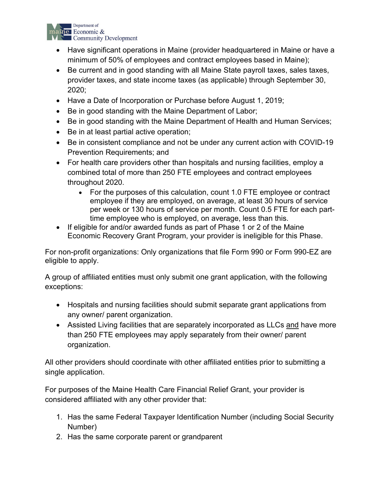

- Have significant operations in Maine (provider headquartered in Maine or have a minimum of 50% of employees and contract employees based in Maine);
- Be current and in good standing with all Maine State payroll taxes, sales taxes, provider taxes, and state income taxes (as applicable) through September 30, 2020;
- Have a Date of Incorporation or Purchase before August 1, 2019;
- Be in good standing with the Maine Department of Labor;
- Be in good standing with the Maine Department of Health and Human Services;
- Be in at least partial active operation;
- Be in consistent compliance and not be under any current action with COVID-19 Prevention Requirements; and
- For health care providers other than hospitals and nursing facilities, employ a combined total of more than 250 FTE employees and contract employees throughout 2020.
	- For the purposes of this calculation, count 1.0 FTE employee or contract employee if they are employed, on average, at least 30 hours of service per week or 130 hours of service per month. Count 0.5 FTE for each parttime employee who is employed, on average, less than this.
- If eligible for and/or awarded funds as part of Phase 1 or 2 of the Maine Economic Recovery Grant Program, your provider is ineligible for this Phase.

For non-profit organizations: Only organizations that file Form 990 or Form 990-EZ are eligible to apply.

A group of affiliated entities must only submit one grant application, with the following exceptions:

- Hospitals and nursing facilities should submit separate grant applications from any owner/ parent organization.
- Assisted Living facilities that are separately incorporated as LLCs and have more than 250 FTE employees may apply separately from their owner/ parent organization.

All other providers should coordinate with other affiliated entities prior to submitting a single application.

For purposes of the Maine Health Care Financial Relief Grant, your provider is considered affiliated with any other provider that:

- 1. Has the same Federal Taxpayer Identification Number (including Social Security Number)
- 2. Has the same corporate parent or grandparent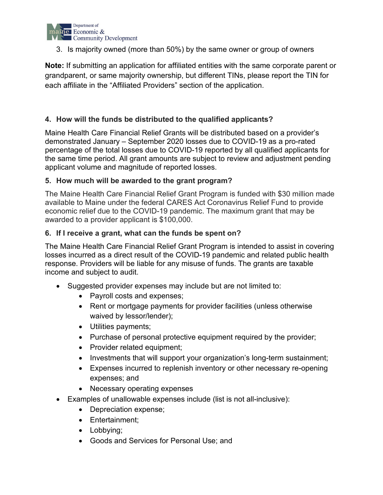

3. Is majority owned (more than 50%) by the same owner or group of owners

**Note:** If submitting an application for affiliated entities with the same corporate parent or grandparent, or same majority ownership, but different TINs, please report the TIN for each affiliate in the "Affiliated Providers" section of the application.

# **4. How will the funds be distributed to the qualified applicants?**

Maine Health Care Financial Relief Grants will be distributed based on a provider's demonstrated January – September 2020 losses due to COVID-19 as a pro-rated percentage of the total losses due to COVID-19 reported by all qualified applicants for the same time period. All grant amounts are subject to review and adjustment pending applicant volume and magnitude of reported losses.

### **5. How much will be awarded to the grant program?**

The Maine Health Care Financial Relief Grant Program is funded with \$30 million made available to Maine under the federal CARES Act Coronavirus Relief Fund to provide economic relief due to the COVID-19 pandemic. The maximum grant that may be awarded to a provider applicant is \$100,000.

#### **6. If I receive a grant, what can the funds be spent on?**

The Maine Health Care Financial Relief Grant Program is intended to assist in covering losses incurred as a direct result of the COVID-19 pandemic and related public health response. Providers will be liable for any misuse of funds. The grants are taxable income and subject to audit.

- Suggested provider expenses may include but are not limited to:
	- Payroll costs and expenses;
	- Rent or mortgage payments for provider facilities (unless otherwise waived by lessor/lender);
	- Utilities payments;
	- Purchase of personal protective equipment required by the provider;
	- Provider related equipment;
	- Investments that will support your organization's long-term sustainment;
	- Expenses incurred to replenish inventory or other necessary re-opening expenses; and
	- Necessary operating expenses
- Examples of unallowable expenses include (list is not all-inclusive):
	- Depreciation expense;
	- Entertainment;
	- Lobbying;
	- Goods and Services for Personal Use; and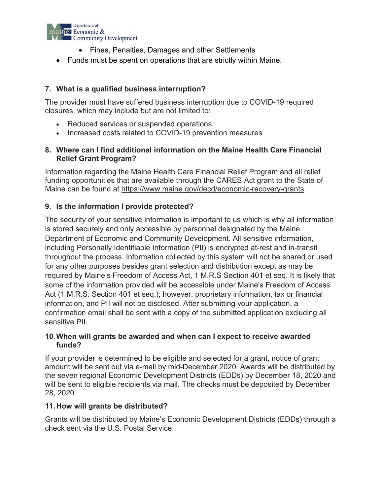

- Fines, Penalties, Damages and other Settlements
- Funds must be spent on operations that are strictly within Maine.

# **7. What is a qualified business interruption?**

The provider must have suffered business interruption due to COVID-19 required closures, which may include but are not limited to:

- Reduced services or suspended operations
- Increased costs related to COVID-19 prevention measures

### **8. Where can I find additional information on the Maine Health Care Financial Relief Grant Program?**

Information regarding the Maine Health Care Financial Relief Program and all relief funding opportunities that are available through the CARES Act grant to the State of Maine can be found at [https://www.maine.gov/decd/economic-recovery-grants.](https://www.maine.gov/decd/economic-recovery-grants)

# **9. Is the information I provide protected?**

The security of your sensitive information is important to us which is why all information is stored securely and only accessible by personnel designated by the Maine Department of Economic and Community Development. All sensitive information, including Personally Identifiable Information (PII) is encrypted at-rest and in-transit throughout the process. Information collected by this system will not be shared or used for any other purposes besides grant selection and distribution except as may be required by Maine's Freedom of Access Act, 1 M.R.S Section 401 et seq. It is likely that some of the information provided will be accessible under Maine's Freedom of Access Act (1 M.R.S. Section 401 et seq.); however, proprietary information, tax or financial information, and PII will not be disclosed. After submitting your application, a confirmation email shall be sent with a copy of the submitted application excluding all sensitive PII.

### **10.When will grants be awarded and when can I expect to receive awarded funds?**

If your provider is determined to be eligible and selected for a grant, notice of grant amount will be sent out via e-mail by mid-December 2020. Awards will be distributed by the seven regional Economic Development Districts (EDDs) by December 18, 2020 and will be sent to eligible recipients via mail. The checks must be deposited by December 28, 2020.

### **11.How will grants be distributed?**

Grants will be distributed by Maine's Economic Development Districts (EDDs) through a check sent via the U.S. Postal Service.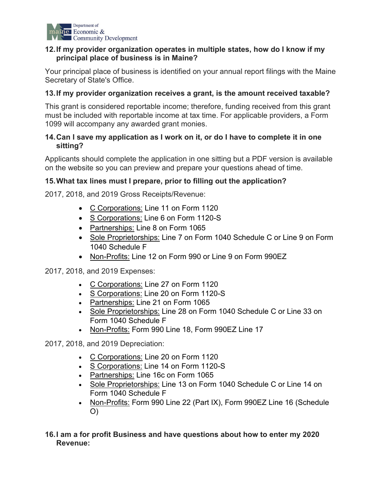

### **12.If my provider organization operates in multiple states, how do I know if my principal place of business is in Maine?**

Your principal place of business is identified on your annual report filings with the Maine Secretary of State's Office.

### **13.If my provider organization receives a grant, is the amount received taxable?**

This grant is considered reportable income; therefore, funding received from this grant must be included with reportable income at tax time. For applicable providers, a Form 1099 will accompany any awarded grant monies.

### **14.Can I save my application as I work on it, or do I have to complete it in one sitting?**

Applicants should complete the application in one sitting but a PDF version is available on the website so you can preview and prepare your questions ahead of time.

# **15.What tax lines must I prepare, prior to filling out the application?**

2017, 2018, and 2019 Gross Receipts/Revenue:

- C Corporations: Line 11 on Form 1120
- S Corporations: Line 6 on Form 1120-S
- Partnerships: Line 8 on Form 1065
- Sole Proprietorships: Line 7 on Form 1040 Schedule C or Line 9 on Form 1040 Schedule F
- Non-Profits: Line 12 on Form 990 or Line 9 on Form 990EZ

2017, 2018, and 2019 Expenses:

- C Corporations: Line 27 on Form 1120
- S Corporations: Line 20 on Form 1120-S
- Partnerships: Line 21 on Form 1065
- Sole Proprietorships: Line 28 on Form 1040 Schedule C or Line 33 on Form 1040 Schedule F
- Non-Profits: Form 990 Line 18, Form 990EZ Line 17

2017, 2018, and 2019 Depreciation:

- C Corporations: Line 20 on Form 1120
- S Corporations: Line 14 on Form 1120-S
- Partnerships: Line 16c on Form 1065
- Sole Proprietorships: Line 13 on Form 1040 Schedule C or Line 14 on Form 1040 Schedule F
- Non-Profits: Form 990 Line 22 (Part IX), Form 990EZ Line 16 (Schedule O)
- **16.I am a for profit Business and have questions about how to enter my 2020 Revenue:**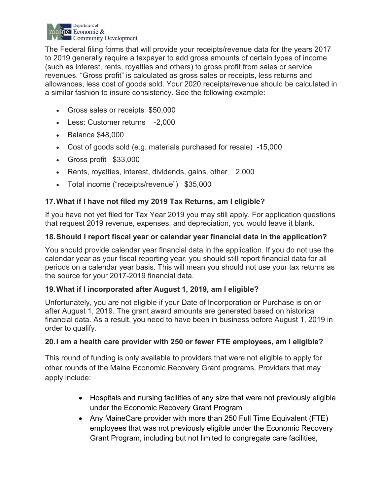

The Federal filing forms that will provide your receipts/revenue data for the years 2017 to 2019 generally require a taxpayer to add gross amounts of certain types of income (such as interest, rents, royalties and others) to gross profit from sales or service revenues. "Gross profit" is calculated as gross sales or receipts, less returns and allowances, less cost of goods sold. Your 2020 receipts/revenue should be calculated in a similar fashion to insure consistency. See the following example:

- Gross sales or receipts \$50,000
- Less: Customer returns -2,000
- Balance \$48,000
- Cost of goods sold (e.g. materials purchased for resale) -15,000
- Gross profit \$33,000
- Rents, royalties, interest, dividends, gains, other 2,000
- Total income ("receipts/revenue") \$35,000

# **17.What if I have not filed my 2019 Tax Returns, am I eligible?**

If you have not yet filed for Tax Year 2019 you may still apply. For application questions that request 2019 revenue, expenses, and depreciation, you would leave it blank.

### **18.Should I report fiscal year or calendar year financial data in the application?**

You should provide calendar year financial data in the application. If you do not use the calendar year as your fiscal reporting year, you should still report financial data for all periods on a calendar year basis. This will mean you should not use your tax returns as the source for your 2017-2019 financial data.

# **19.What if I incorporated after August 1, 2019, am I eligible?**

Unfortunately, you are not eligible if your Date of Incorporation or Purchase is on or after August 1, 2019. The grant award amounts are generated based on historical financial data. As a result, you need to have been in business before August 1, 2019 in order to qualify.

### **20.I am a health care provider with 250 or fewer FTE employees, am I eligible?**

This round of funding is only available to providers that were not eligible to apply for other rounds of the Maine Economic Recovery Grant programs. Providers that may apply include:

- Hospitals and nursing facilities of any size that were not previously eligible under the Economic Recovery Grant Program
- Any MaineCare provider with more than 250 Full Time Equivalent (FTE) employees that was not previously eligible under the Economic Recovery Grant Program, including but not limited to congregate care facilities,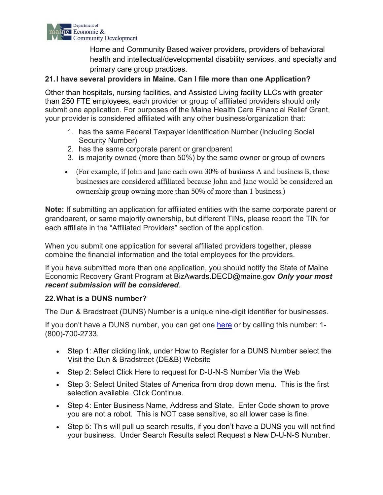

Home and Community Based waiver providers, providers of behavioral health and intellectual/developmental disability services, and specialty and primary care group practices.

### **21.I have several providers in Maine. Can I file more than one Application?**

Other than hospitals, nursing facilities, and Assisted Living facility LLCs with greater than 250 FTE employees, each provider or group of affiliated providers should only submit one application. For purposes of the Maine Health Care Financial Relief Grant, your provider is considered affiliated with any other business/organization that:

- 1. has the same Federal Taxpayer Identification Number (including Social Security Number)
- 2. has the same corporate parent or grandparent
- 3. is majority owned (more than 50%) by the same owner or group of owners
- (For example, if John and Jane each own 30% of business A and business B, those businesses are considered affiliated because John and Jane would be considered an ownership group owning more than 50% of more than 1 business.)

**Note:** If submitting an application for affiliated entities with the same corporate parent or grandparent, or same majority ownership, but different TINs, please report the TIN for each affiliate in the "Affiliated Providers" section of the application.

When you submit one application for several affiliated providers together, please combine the financial information and the total employees for the providers.

If you have submitted more than one application, you should notify the State of Maine Economic Recovery Grant Program at BizAwards.DECD@maine.gov *Only your most recent submission will be considered*.

### **22.What is a DUNS number?**

The Dun & Bradstreet (DUNS) Number is a unique nine-digit identifier for businesses.

If you don't have a DUNS number, you can get one [here](https://www.grants.gov/applicants/organization-registration/step-1-obtain-duns-number.html) or by calling this number: 1- (800)-700-2733.

- Step 1: After clicking link, under How to Register for a DUNS Number select the Visit the Dun & Bradstreet (DE&B) Website
- Step 2: Select Click Here to request for D-U-N-S Number Via the Web
- Step 3: Select United States of America from drop down menu. This is the first selection available. Click Continue.
- Step 4: Enter Business Name, Address and State. Enter Code shown to prove you are not a robot. This is NOT case sensitive, so all lower case is fine.
- Step 5: This will pull up search results, if you don't have a DUNS you will not find your business. Under Search Results select Request a New D-U-N-S Number.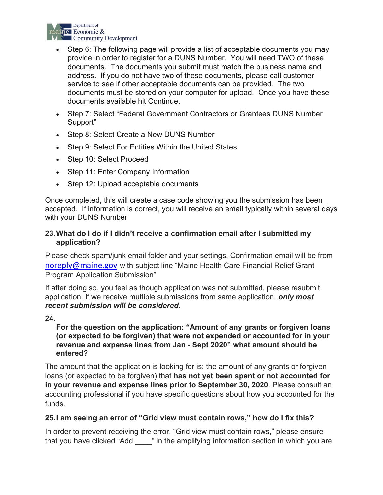

- Step 6: The following page will provide a list of acceptable documents you may provide in order to register for a DUNS Number. You will need TWO of these documents. The documents you submit must match the business name and address. If you do not have two of these documents, please call customer service to see if other acceptable documents can be provided. The two documents must be stored on your computer for upload. Once you have these documents available hit Continue.
- Step 7: Select "Federal Government Contractors or Grantees DUNS Number Support"
- Step 8: Select Create a New DUNS Number
- Step 9: Select For Entities Within the United States
- Step 10: Select Proceed
- Step 11: Enter Company Information
- Step 12: Upload acceptable documents

Once completed, this will create a case code showing you the submission has been accepted. If information is correct, you will receive an email typically within several days with your DUNS Number

### **23.What do I do if I didn't receive a confirmation email after I submitted my application?**

Please check spam/junk email folder and your settings. Confirmation email will be from [noreply@maine.gov](mailto:noreply@maine.gov) with subject line "Maine Health Care Financial Relief Grant Program Application Submission"

If after doing so, you feel as though application was not submitted, please resubmit application. If we receive multiple submissions from same application, *only most recent submission will be considered*.

### **24.**

### **For the question on the application: "Amount of any grants or forgiven loans (or expected to be forgiven) that were not expended or accounted for in your revenue and expense lines from Jan - Sept 2020" what amount should be entered?**

The amount that the application is looking for is: the amount of any grants or forgiven loans (or expected to be forgiven) that **has not yet been spent or not accounted for in your revenue and expense lines prior to September 30, 2020**. Please consult an accounting professional if you have specific questions about how you accounted for the funds.

# **25.I am seeing an error of "Grid view must contain rows," how do I fix this?**

In order to prevent receiving the error, "Grid view must contain rows," please ensure that you have clicked "Add <sup>"</sup> in the amplifying information section in which you are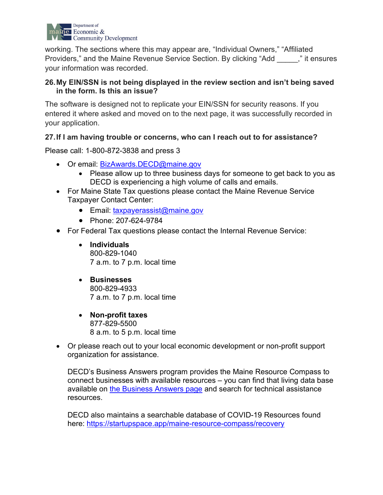

working. The sections where this may appear are, "Individual Owners," "Affiliated Providers," and the Maine Revenue Service Section. By clicking "Add \_\_\_\_\_," it ensures your information was recorded.

### **26.My EIN/SSN is not being displayed in the review section and isn't being saved in the form. Is this an issue?**

The software is designed not to replicate your EIN/SSN for security reasons. If you entered it where asked and moved on to the next page, it was successfully recorded in your application.

### **27.If I am having trouble or concerns, who can I reach out to for assistance?**

Please call: 1-800-872-3838 and press 3

- Or email: [BizAwards.DECD@maine.gov](mailto:BizAwards.DECD@maine.gov)
	- Please allow up to three business days for someone to get back to you as DECD is experiencing a high volume of calls and emails.
- For Maine State Tax questions please contact the Maine Revenue Service Taxpayer Contact Center:
	- Email: [taxpayerassist@maine.gov](mailto:taxpayerassist@maine.gov)
	- Phone: 207-624-9784
- For Federal Tax questions please contact the Internal Revenue Service:
	- **Individuals** [800-829-1040](tel:800-829-1040) 7 a.m. to 7 p.m. local time
	- **Businesses** [800-829-4933](tel:800-829-4933) 7 a.m. to 7 p.m. local time
	- **Non-profit taxes** [877-829-5500](tel:877-829-5500) 8 a.m. to 5 p.m. local time
- Or please reach out to your local economic development or non-profit support organization for assistance.

DECD's Business Answers program provides the Maine Resource Compass to connect businesses with available resources – you can find that living data base available on the Business [Answers page](https://apps.web.maine.gov/cgi/online/businessanswers/index.pl) and search for technical assistance resources.

DECD also maintains a searchable database of COVID-19 Resources found here:<https://startupspace.app/maine-resource-compass/recovery>